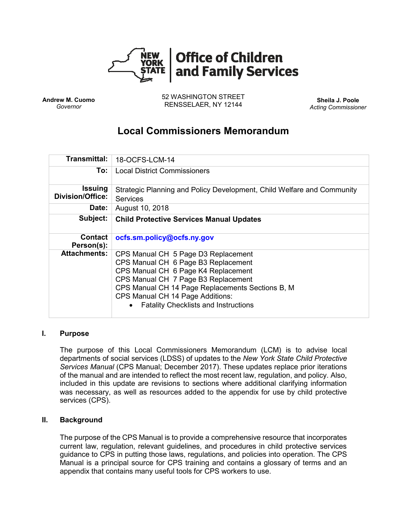

**Andrew M. Cuomo** *Governor*

52 WASHINGTON STREET RENSSELAER, NY 12144 **Sheila J. Poole**

*Acting Commissioner*

# **Local Commissioners Memorandum**

| <b>Transmittal:</b>                       | 18-OCFS-LCM-14                                                                                                                                                                                                                                                                                  |
|-------------------------------------------|-------------------------------------------------------------------------------------------------------------------------------------------------------------------------------------------------------------------------------------------------------------------------------------------------|
| To:                                       | <b>Local District Commissioners</b>                                                                                                                                                                                                                                                             |
| <b>Issuing</b><br><b>Division/Office:</b> | Strategic Planning and Policy Development, Child Welfare and Community<br><b>Services</b>                                                                                                                                                                                                       |
| Date:                                     | August 10, 2018                                                                                                                                                                                                                                                                                 |
| Subject:                                  | <b>Child Protective Services Manual Updates</b>                                                                                                                                                                                                                                                 |
| <b>Contact</b><br>Person(s):              | ocfs.sm.policy@ocfs.ny.gov                                                                                                                                                                                                                                                                      |
| <b>Attachments:</b>                       | CPS Manual CH 5 Page D3 Replacement<br>CPS Manual CH 6 Page B3 Replacement<br>CPS Manual CH 6 Page K4 Replacement<br>CPS Manual CH 7 Page B3 Replacement<br>CPS Manual CH 14 Page Replacements Sections B, M<br>CPS Manual CH 14 Page Additions:<br><b>Fatality Checklists and Instructions</b> |

## **I. Purpose**

The purpose of this Local Commissioners Memorandum (LCM) is to advise local departments of social services (LDSS) of updates to the *New York State Child Protective Services Manual* (CPS Manual; December 2017). These updates replace prior iterations of the manual and are intended to reflect the most recent law, regulation, and policy. Also, included in this update are revisions to sections where additional clarifying information was necessary, as well as resources added to the appendix for use by child protective services (CPS).

## **II. Background**

The purpose of the CPS Manual is to provide a comprehensive resource that incorporates current law, regulation, relevant guidelines, and procedures in child protective services guidance to CPS in putting those laws, regulations, and policies into operation. The CPS Manual is a principal source for CPS training and contains a glossary of terms and an appendix that contains many useful tools for CPS workers to use.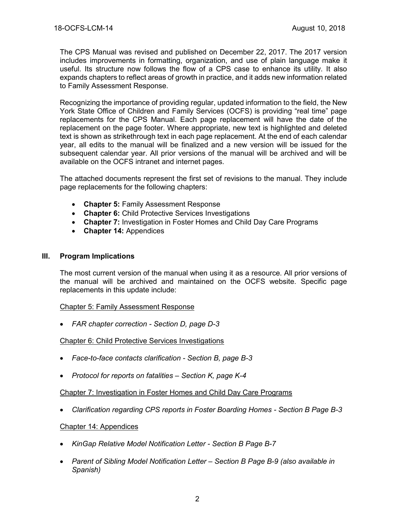The CPS Manual was revised and published on December 22, 2017. The 2017 version includes improvements in formatting, organization, and use of plain language make it useful. Its structure now follows the flow of a CPS case to enhance its utility. It also expands chapters to reflect areas of growth in practice, and it adds new information related to Family Assessment Response.

Recognizing the importance of providing regular, updated information to the field, the New York State Office of Children and Family Services (OCFS) is providing "real time" page replacements for the CPS Manual. Each page replacement will have the date of the replacement on the page footer. Where appropriate, new text is highlighted and deleted text is shown as strikethrough text in each page replacement. At the end of each calendar year, all edits to the manual will be finalized and a new version will be issued for the subsequent calendar year. All prior versions of the manual will be archived and will be available on the OCFS intranet and internet pages.

The attached documents represent the first set of revisions to the manual. They include page replacements for the following chapters:

- **Chapter 5:** Family Assessment Response
- **Chapter 6:** Child Protective Services Investigations
- **Chapter 7:** Investigation in Foster Homes and Child Day Care Programs
- **Chapter 14:** Appendices

#### **III. Program Implications**

The most current version of the manual when using it as a resource. All prior versions of the manual will be archived and maintained on the OCFS website. Specific page replacements in this update include:

#### Chapter 5: Family Assessment Response

• *FAR chapter correction - Section D, page D-3*

#### Chapter 6: Child Protective Services Investigations

- *Face-to-face contacts clarification - Section B, page B-3*
- *Protocol for reports on fatalities – Section K, page K-4*

#### Chapter 7: Investigation in Foster Homes and Child Day Care Programs

• *Clarification regarding CPS reports in Foster Boarding Homes - Section B Page B-3*

#### Chapter 14: Appendices

- *KinGap Relative Model Notification Letter - Section B Page B-7*
- *Parent of Sibling Model Notification Letter – Section B Page B-9 (also available in Spanish)*